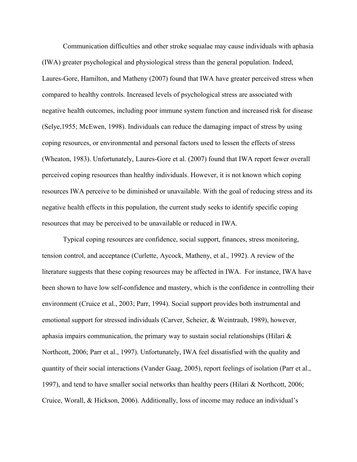Communication difficulties and other stroke sequalae may cause individuals with aphasia (IWA) greater psychological and physiological stress than the general population. Indeed, Laures-Gore, Hamilton, and Matheny (2007) found that IWA have greater perceived stress when compared to healthy controls. Increased levels of psychological stress are associated with negative health outcomes, including poor immune system function and increased risk for disease (Selye,1955; McEwen, 1998). Individuals can reduce the damaging impact of stress by using coping resources, or environmental and personal factors used to lessen the effects of stress (Wheaton, 1983). Unfortunately, Laures-Gore et al. (2007) found that IWA report fewer overall perceived coping resources than healthy individuals. However, it is not known which coping resources IWA perceive to be diminished or unavailable. With the goal of reducing stress and its negative health effects in this population, the current study seeks to identify specific coping resources that may be perceived to be unavailable or reduced in IWA.

Typical coping resources are confidence, social support, finances, stress monitoring, tension control, and acceptance (Curlette, Aycock, Matheny, et al., 1992). A review of the literature suggests that these coping resources may be affected in IWA. For instance, IWA have been shown to have low self-confidence and mastery, which is the confidence in controlling their environment (Cruice et al., 2003; Parr, 1994). Social support provides both instrumental and emotional support for stressed individuals (Carver, Scheier, & Weintraub, 1989), however, aphasia impairs communication, the primary way to sustain social relationships (Hilari & Northcott, 2006; Parr et al., 1997). Unfortunately, IWA feel dissatisfied with the quality and quantity of their social interactions (Vander Gaag, 2005), report feelings of isolation (Parr et al., 1997), and tend to have smaller social networks than healthy peers (Hilari & Northcott, 2006; Cruice, Worall, & Hickson, 2006). Additionally, loss of income may reduce an individual's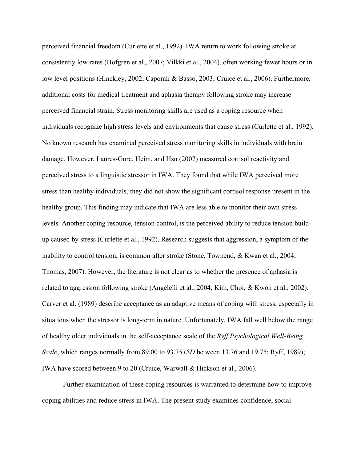perceived financial freedom (Curlette et al., 1992). IWA return to work following stroke at consistently low rates (Hofgren et al., 2007; Vilkki et al., 2004), often working fewer hours or in low level positions (Hinckley, 2002; Caporali & Basso, 2003; Cruice et al., 2006). Furthermore, additional costs for medical treatment and aphasia therapy following stroke may increase perceived financial strain. Stress monitoring skills are used as a coping resource when individuals recognize high stress levels and environments that cause stress (Curlette et al., 1992). No known research has examined perceived stress monitoring skills in individuals with brain damage. However, Laures-Gore, Heim, and Hsu (2007) measured cortisol reactivity and perceived stress to a linguistic stressor in IWA. They found that while IWA perceived more stress than healthy individuals, they did not show the significant cortisol response present in the healthy group. This finding may indicate that IWA are less able to monitor their own stress levels. Another coping resource, tension control, is the perceived ability to reduce tension buildup caused by stress (Curlette et al., 1992). Research suggests that aggression, a symptom of the inability to control tension, is common after stroke (Stone, Townend, & Kwan et al., 2004; Thomas, 2007). However, the literature is not clear as to whether the presence of aphasia is related to aggression following stroke (Angelelli et al., 2004; Kim, Choi, & Kwon et al., 2002). Carver et al. (1989) describe acceptance as an adaptive means of coping with stress, especially in situations when the stressor is long-term in nature. Unfortunately, IWA fall well below the range of healthy older individuals in the self-acceptance scale of the *Ryff Psychological Well-Being Scale*, which ranges normally from 89.00 to 93.75 (*SD* between 13.76 and 19.75; Ryff, 1989); IWA have scored between 9 to 20 (Cruice, Warwall & Hickson et al., 2006).

Further examination of these coping resources is warranted to determine how to improve coping abilities and reduce stress in IWA. The present study examines confidence, social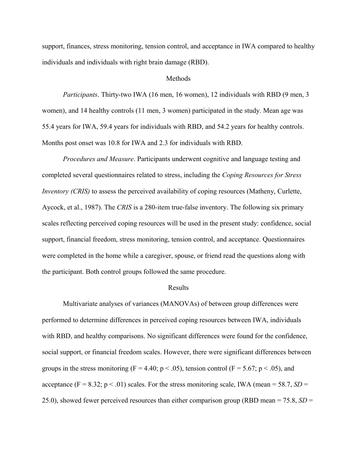support, finances, stress monitoring, tension control, and acceptance in IWA compared to healthy individuals and individuals with right brain damage (RBD).

## Methods

*Participants*. Thirty-two IWA (16 men, 16 women), 12 individuals with RBD (9 men, 3 women), and 14 healthy controls (11 men, 3 women) participated in the study. Mean age was 55.4 years for IWA, 59.4 years for individuals with RBD, and 54.2 years for healthy controls. Months post onset was 10.8 for IWA and 2.3 for individuals with RBD.

*Procedures and Measure*. Participants underwent cognitive and language testing and completed several questionnaires related to stress, including the *Coping Resources for Stress Inventory (CRIS)* to assess the perceived availability of coping resources (Matheny, Curlette, Aycock, et al., 1987). The *CRIS* is a 280-item true-false inventory. The following six primary scales reflecting perceived coping resources will be used in the present study: confidence, social support, financial freedom, stress monitoring, tension control, and acceptance. Questionnaires were completed in the home while a caregiver, spouse, or friend read the questions along with the participant. Both control groups followed the same procedure.

## Results

Multivariate analyses of variances (MANOVAs) of between group differences were performed to determine differences in perceived coping resources between IWA, individuals with RBD, and healthy comparisons. No significant differences were found for the confidence, social support, or financial freedom scales. However, there were significant differences between groups in the stress monitoring (F = 4.40; p < .05), tension control (F = 5.67; p < .05), and acceptance (F = 8.32;  $p < .01$ ) scales. For the stress monitoring scale, IWA (mean = 58.7, *SD* = 25.0), showed fewer perceived resources than either comparison group (RBD mean = 75.8, *SD* =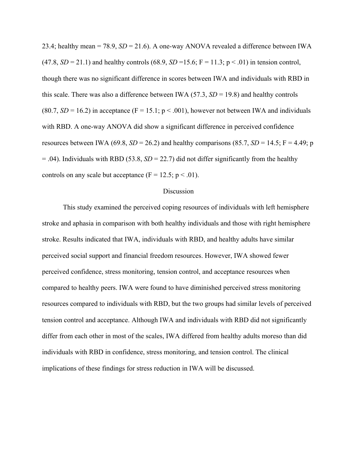23.4; healthy mean = 78.9,  $SD = 21.6$ ). A one-way ANOVA revealed a difference between IWA  $(47.8, SD = 21.1)$  and healthy controls  $(68.9, SD = 15.6; F = 11.3; p < .01)$  in tension control, though there was no significant difference in scores between IWA and individuals with RBD in this scale. There was also a difference between IWA (57.3, *SD* = 19.8) and healthy controls (80.7,  $SD = 16.2$ ) in acceptance (F = 15.1; p < .001), however not between IWA and individuals with RBD. A one-way ANOVA did show a significant difference in perceived confidence resources between IWA (69.8,  $SD = 26.2$ ) and healthy comparisons (85.7,  $SD = 14.5$ ; F = 4.49; p  $= .04$ ). Individuals with RBD (53.8, *SD* = 22.7) did not differ significantly from the healthy controls on any scale but acceptance ( $F = 12.5$ ;  $p < .01$ ).

## Discussion

This study examined the perceived coping resources of individuals with left hemisphere stroke and aphasia in comparison with both healthy individuals and those with right hemisphere stroke. Results indicated that IWA, individuals with RBD, and healthy adults have similar perceived social support and financial freedom resources. However, IWA showed fewer perceived confidence, stress monitoring, tension control, and acceptance resources when compared to healthy peers. IWA were found to have diminished perceived stress monitoring resources compared to individuals with RBD, but the two groups had similar levels of perceived tension control and acceptance. Although IWA and individuals with RBD did not significantly differ from each other in most of the scales, IWA differed from healthy adults moreso than did individuals with RBD in confidence, stress monitoring, and tension control. The clinical implications of these findings for stress reduction in IWA will be discussed.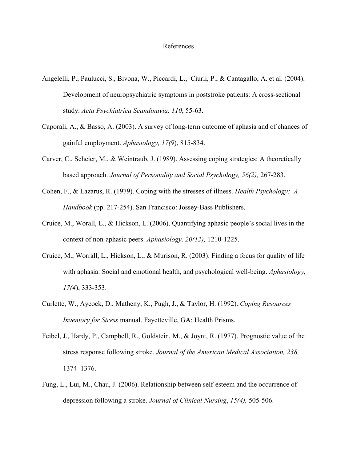## References

- Angelelli, P., Paulucci, S., Bivona, W., Piccardi, L., Ciurli, P., & Cantagallo, A. et al. (2004). Development of neuropsychiatric symptoms in poststroke patients: A cross-sectional study. *Acta Psychiatrica Scandinavia, 110*, 55-63.
- Caporali, A., & Basso, A. (2003). A survey of long-term outcome of aphasia and of chances of gainful employment. *Aphasiology, 17(9*), 815-834.
- Carver, C., Scheier, M., & Weintraub, J. (1989). Assessing coping strategies: A theoretically based approach. *Journal of Personality and Social Psychology, 56(2),* 267-283.
- Cohen, F., & Lazarus, R. (1979). Coping with the stresses of illness. *Health Psychology: A Handbook* (pp. 217-254). San Francisco: Jossey-Bass Publishers.
- Cruice, M., Worall, L., & Hickson, L. (2006). Quantifying aphasic people's social lives in the context of non-aphasic peers. *Aphasiology, 20(12),* 1210-1225.
- Cruice, M., Worrall, L., Hickson, L., & Murison, R. (2003). Finding a focus for quality of life with aphasia: Social and emotional health, and psychological well-being. *Aphasiology, 17(4*), 333-353.
- Curlette, W., Aycock, D., Matheny, K., Pugh, J., & Taylor, H. (1992). *Coping Resources Inventory for Stress* manual. Fayetteville, GA: Health Prisms.
- Feibel, J., Hardy, P., Campbell, R., Goldstein, M., & Joynt, R. (1977). Prognostic value of the stress response following stroke. *Journal of the American Medical Association, 238,* 1374–1376.
- Fung, L., Lui, M., Chau, J. (2006). Relationship between self-esteem and the occurrence of depression following a stroke. *Journal of Clinical Nursing*, *15(4),* 505-506.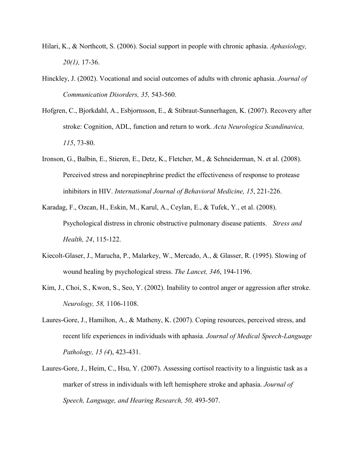- Hilari, K., & Northcott, S. (2006). Social support in people with chronic aphasia. *Aphasiology, 20(1),* 17-36.
- Hinckley, J. (2002). Vocational and social outcomes of adults with chronic aphasia. *Journal of Communication Disorders, 35,* 543-560.
- Hofgren, C., Bjorkdahl, A., Esbjornsson, E., & Stibraut-Sunnerhagen, K. (2007). Recovery after stroke: Cognition, ADL, function and return to work. *Acta Neurologica Scandinavica, 115*, 73-80.
- Ironson, G., Balbin, E., Stieren, E., Detz, K., Fletcher, M., & Schneiderman, N. et al. (2008). Perceived stress and norepinephrine predict the effectiveness of response to protease inhibitors in HIV. *International Journal of Behavioral Medicine, 15*, 221-226.
- Karadag, F., Ozcan, H., Eskin, M., Karul, A., Ceylan, E., & Tufek, Y., et al. (2008). Psychological distress in chronic obstructive pulmonary disease patients. *Stress and Health, 24*, 115-122.
- Kiecolt-Glaser, J., Marucha, P., Malarkey, W., Mercado, A., & Glasser, R. (1995). Slowing of wound healing by psychological stress. *The Lancet, 346*, 194-1196.
- Kim, J., Choi, S., Kwon, S., Seo, Y. (2002). Inability to control anger or aggression after stroke. *Neurology, 58,* 1106-1108.
- Laures-Gore, J., Hamilton, A., & Matheny, K. (2007). Coping resources, perceived stress, and recent life experiences in individuals with aphasia*. Journal of Medical Speech-Language Pathology, 15 (4*), 423-431.
- Laures-Gore, J., Heim, C., Hsu, Y. (2007). Assessing cortisol reactivity to a linguistic task as a marker of stress in individuals with left hemisphere stroke and aphasia. *Journal of Speech, Language, and Hearing Research, 50,* 493-507.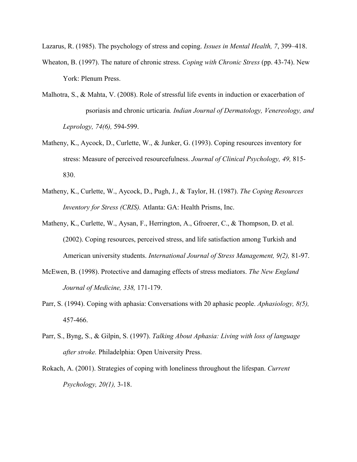Lazarus, R. (1985). The psychology of stress and coping. *Issues in Mental Health, 7*, 399–418.

- Wheaton, B. (1997). The nature of chronic stress. *Coping with Chronic Stress* (pp. 43-74). New York: Plenum Press.
- Malhotra, S., & Mahta, V. (2008). Role of stressful life events in induction or exacerbation of psoriasis and chronic urticaria*. Indian Journal of Dermatology, Venereology, and Leprology, 74(6),* 594-599.
- Matheny, K., Aycock, D., Curlette, W., & Junker, G. (1993). Coping resources inventory for stress: Measure of perceived resourcefulness. *Journal of Clinical Psychology, 49,* 815- 830.
- Matheny, K., Curlette, W., Aycock, D., Pugh, J., & Taylor, H. (1987). *The Coping Resources Inventory for Stress (CRIS).* Atlanta: GA: Health Prisms, Inc.
- Matheny, K., Curlette, W., Aysan, F., Herrington, A., Gfroerer, C., & Thompson, D. et al. (2002). Coping resources, perceived stress, and life satisfaction among Turkish and American university students. *International Journal of Stress Management, 9(2),* 81-97.
- McEwen, B. (1998). Protective and damaging effects of stress mediators. *The New England Journal of Medicine, 338,* 171-179.
- Parr, S. (1994). Coping with aphasia: Conversations with 20 aphasic people. *Aphasiology, 8(5),* 457-466.
- Parr, S., Byng, S., & Gilpin, S. (1997). *Talking About Aphasia: Living with loss of language after stroke.* Philadelphia: Open University Press.
- Rokach, A. (2001). Strategies of coping with loneliness throughout the lifespan. *Current Psychology, 20(1),* 3-18.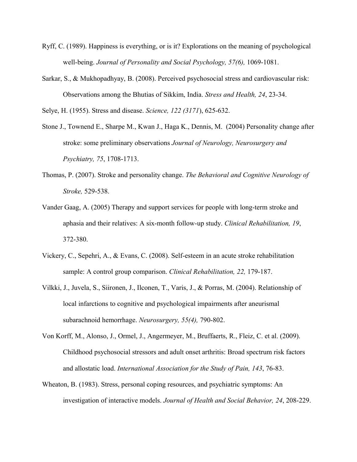- Ryff, C. (1989). Happiness is everything, or is it? Explorations on the meaning of psychological well-being. *Journal of Personality and Social Psychology, 57(6),* 1069-1081.
- Sarkar, S., & Mukhopadhyay, B. (2008). Perceived psychosocial stress and cardiovascular risk: Observations among the Bhutias of Sikkim, India. *Stress and Health, 24*, 23-34.

Selye, H. (1955). Stress and disease. *Science, 122 (3171*), 625-632.

- Stone J., Townend E., Sharpe M., Kwan J., Haga K., Dennis, M. (2004) Personality change after stroke: some preliminary observations *Journal of Neurology, Neurosurgery and Psychiatry, 75*, 1708-1713.
- Thomas, P. (2007). Stroke and personality change. *The Behavioral and Cognitive Neurology of Stroke,* 529-538.
- Vander Gaag, A. (2005) Therapy and support services for people with long-term stroke and aphasia and their relatives: A six-month follow-up study. *Clinical Rehabilitation, 19*, 372-380.
- Vickery, C., Sepehri, A., & Evans, C. (2008). Self-esteem in an acute stroke rehabilitation sample: A control group comparison. *Clinical Rehabilitation, 22,* 179-187.
- Vilkki, J., Juvela, S., Siironen, J., Ilconen, T., Varis, J., & Porras, M. (2004). Relationship of local infarctions to cognitive and psychological impairments after aneurismal subarachnoid hemorrhage. *Neurosurgery, 55(4),* 790-802.
- Von Korff, M., Alonso, J., Ormel, J., Angermeyer, M., Bruffaerts, R., Fleiz, C. et al. (2009). Childhood psychosocial stressors and adult onset arthritis: Broad spectrum risk factors and allostatic load. *International Association for the Study of Pain, 143*, 76-83.
- Wheaton, B. (1983). Stress, personal coping resources, and psychiatric symptoms: An investigation of interactive models. *Journal of Health and Social Behavior, 24*, 208-229.